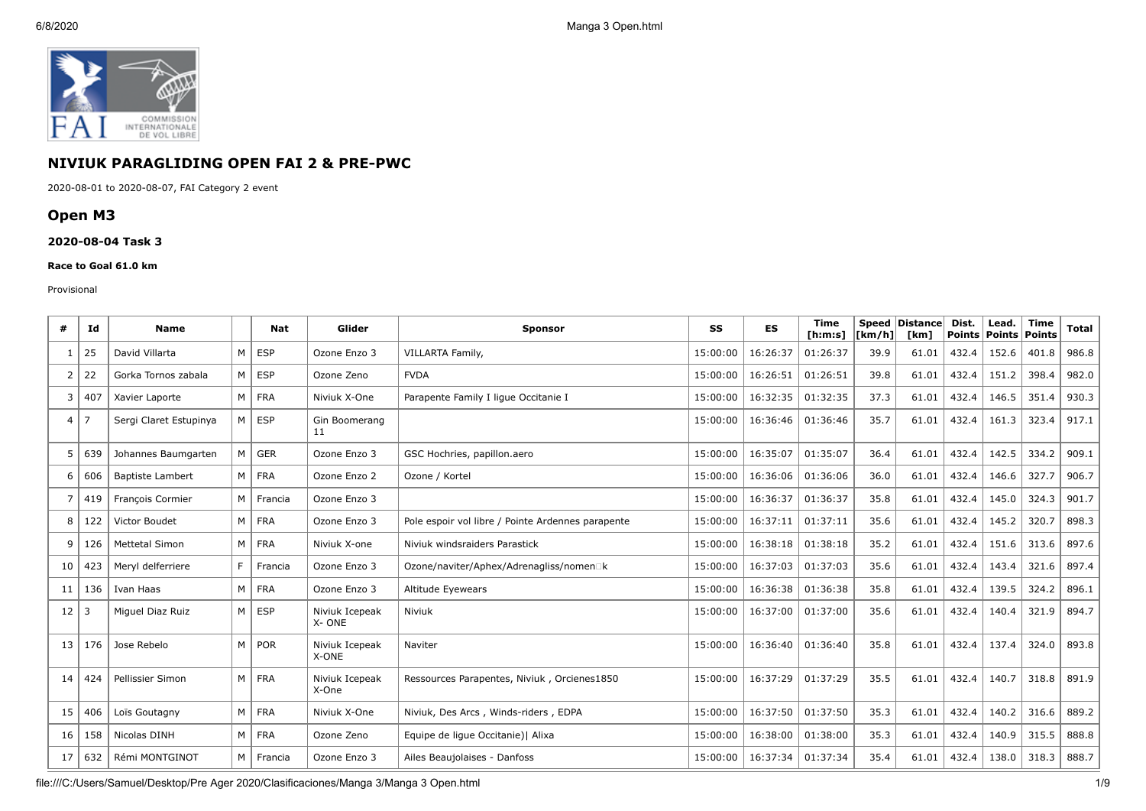

# **NIVIUK PARAGLIDING OPEN FAI 2 & PRE-PWC**

2020-08-01 to 2020-08-07, FAI Category 2 event

## **Open M3**

### **2020-08-04 Task 3**

#### **Race to Goal 61.0 km**

#### Provisional

| #              | Ιd  | <b>Name</b>             |   | Nat        | Glider                  | <b>Sponsor</b>                                    | <b>SS</b> | <b>ES</b> | <b>Time</b><br>[ <b>h</b> : <b>m</b> : <b>s</b> ] | <b>Speed</b><br>[km/h] | Distance<br>[km] | Dist.<br>Points   Points   Points | Lead. | <b>Time</b> | <b>Total</b> |
|----------------|-----|-------------------------|---|------------|-------------------------|---------------------------------------------------|-----------|-----------|---------------------------------------------------|------------------------|------------------|-----------------------------------|-------|-------------|--------------|
| 1              | 25  | David Villarta          | M | ESP        | Ozone Enzo 3            | VILLARTA Family,                                  | 15:00:00  | 16:26:37  | 01:26:37                                          | 39.9                   | 61.01            | 432.4                             | 152.6 | 401.8       | 986.8        |
| 2              | 22  | Gorka Tornos zabala     | M | <b>ESP</b> | Ozone Zeno              | <b>FVDA</b>                                       | 15:00:00  | 16:26:51  | 01:26:51                                          | 39.8                   | 61.01            | 432.4                             | 151.2 | 398.4       | 982.0        |
| 3              | 407 | Xavier Laporte          | M | FRA        | Niviuk X-One            | Parapente Family I lique Occitanie I              | 15:00:00  | 16:32:35  | 01:32:35                                          | 37.3                   | 61.01            | 432.4                             | 146.5 | 351.4       | 930.3        |
| $\overline{4}$ | -7  | Sergi Claret Estupinya  | M | <b>ESP</b> | Gin Boomerang<br>11     |                                                   | 15:00:00  | 16:36:46  | 01:36:46                                          | 35.7                   | 61.01            | 432.4                             | 161.3 | 323.4       | 917.1        |
| 5              | 639 | Johannes Baumgarten     | M | <b>GER</b> | Ozone Enzo 3            | GSC Hochries, papillon.aero                       | 15:00:00  | 16:35:07  | 01:35:07                                          | 36.4                   | 61.01            | 432.4                             | 142.5 | 334.2       | 909.1        |
| 6              | 606 | <b>Baptiste Lambert</b> | M | FRA        | Ozone Enzo 2            | Ozone / Kortel                                    | 15:00:00  | 16:36:06  | 01:36:06                                          | 36.0                   | 61.01            | 432.4                             | 146.6 | 327.7       | 906.7        |
| $\overline{7}$ | 419 | François Cormier        | M | Francia    | Ozone Enzo 3            |                                                   | 15:00:00  | 16:36:37  | 01:36:37                                          | 35.8                   | 61.01            | 432.4                             | 145.0 | 324.3       | 901.7        |
| 8              | 122 | Victor Boudet           | M | <b>FRA</b> | Ozone Enzo 3            | Pole espoir vol libre / Pointe Ardennes parapente | 15:00:00  | 16:37:11  | 01:37:11                                          | 35.6                   | 61.01            | 432.4                             | 145.2 | 320.7       | 898.3        |
| 9              | 126 | <b>Mettetal Simon</b>   | M | <b>FRA</b> | Niviuk X-one            | Niviuk windsraiders Parastick                     | 15:00:00  | 16:38:18  | 01:38:18                                          | 35.2                   | 61.01            | 432.4                             | 151.6 | 313.6       | 897.6        |
| 10             | 423 | Meryl delferriere       | F | Francia    | Ozone Enzo 3            | Ozone/naviter/Aphex/Adrenagliss/nomen□k           | 15:00:00  | 16:37:03  | 01:37:03                                          | 35.6                   | 61.01            | 432.4                             | 143.4 | 321.6       | 897.4        |
| 11             | 136 | Ivan Haas               | M | <b>FRA</b> | Ozone Enzo 3            | Altitude Eyewears                                 | 15:00:00  | 16:36:38  | 01:36:38                                          | 35.8                   | 61.01            | 432.4                             | 139.5 | 324.2       | 896.1        |
| 12             | -3  | Miguel Diaz Ruiz        | M | <b>ESP</b> | Niviuk Icepeak<br>X-ONE | Niviuk                                            | 15:00:00  | 16:37:00  | 01:37:00                                          | 35.6                   | 61.01            | 432.4                             | 140.4 | 321.9       | 894.7        |
| 13             | 176 | Jose Rebelo             | M | POR        | Niviuk Icepeak<br>X-ONE | Naviter                                           | 15:00:00  | 16:36:40  | 01:36:40                                          | 35.8                   | 61.01            | 432.4                             | 137.4 | 324.0       | 893.8        |
| 14             | 424 | Pellissier Simon        | M | <b>FRA</b> | Niviuk Icepeak<br>X-One | Ressources Parapentes, Niviuk, Orcienes1850       | 15:00:00  | 16:37:29  | 01:37:29                                          | 35.5                   | 61.01            | 432.4                             | 140.7 | 318.8       | 891.9        |
| 15             | 406 | Loïs Goutagny           | M | <b>FRA</b> | Niviuk X-One            | Niviuk, Des Arcs, Winds-riders, EDPA              | 15:00:00  | 16:37:50  | 01:37:50                                          | 35.3                   | 61.01            | 432.4                             | 140.2 | 316.6       | 889.2        |
| 16             | 158 | Nicolas DINH            | M | FRA        | Ozone Zeno              | Equipe de lique Occitanie)   Alixa                | 15:00:00  | 16:38:00  | 01:38:00                                          | 35.3                   | 61.01            | 432.4                             | 140.9 | 315.5       | 888.8        |
| 17             | 632 | Rémi MONTGINOT          | M | Francia    | Ozone Enzo 3            | Ailes Beaujolaises - Danfoss                      | 15:00:00  | 16:37:34  | 01:37:34                                          | 35.4                   | 61.01            | 432.4                             | 138.0 | 318.3       | 888.7        |

file:///C:/Users/Samuel/Desktop/Pre Ager 2020/Clasificaciones/Manga 3/Manga 3 Open.html 1/9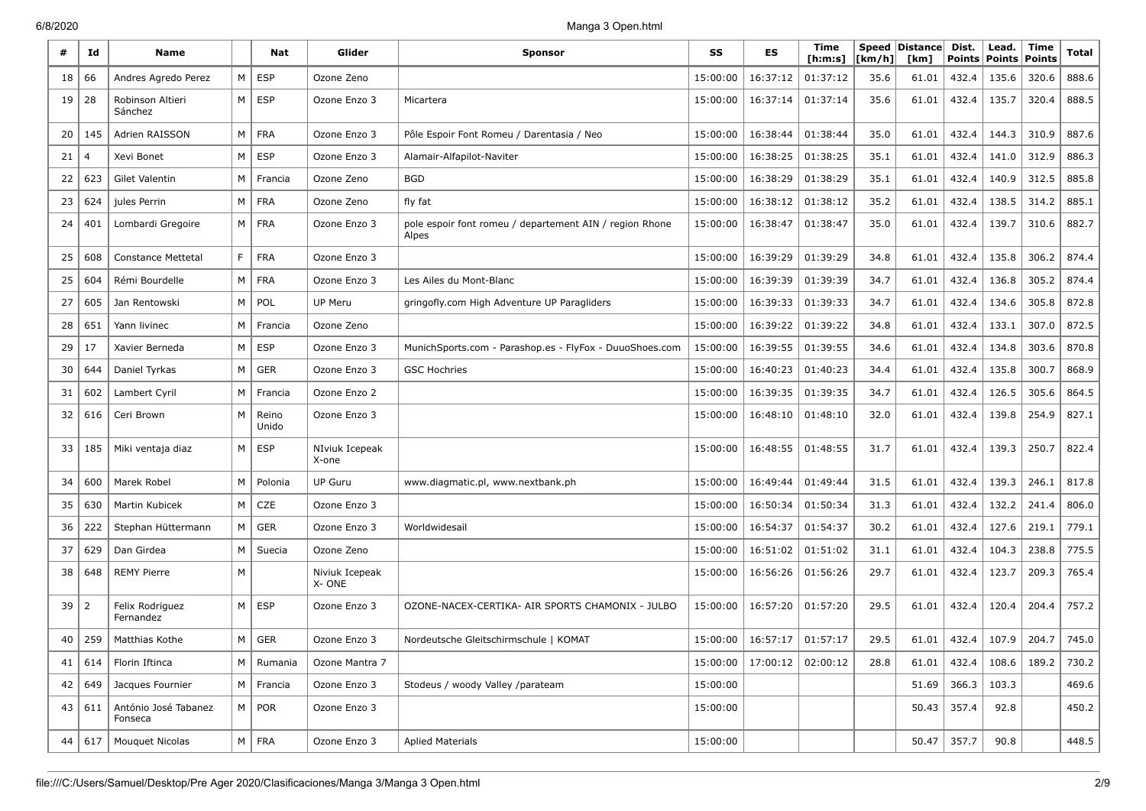| #  | Id  | <b>Name</b>                     |                | Nat            | Glider                  | <b>Sponsor</b>                                                   | SS       | <b>ES</b> | Time<br>[h:m:s] | Speed<br>[km/h] | Distance<br>[km] | Dist.<br><b>Points</b> | Lead.<br>Points | Time<br>Points | Total |
|----|-----|---------------------------------|----------------|----------------|-------------------------|------------------------------------------------------------------|----------|-----------|-----------------|-----------------|------------------|------------------------|-----------------|----------------|-------|
| 18 | 66  | Andres Agredo Perez             | M              | <b>ESP</b>     | Ozone Zeno              |                                                                  | 15:00:00 | 16:37:12  | 01:37:12        | 35.6            | 61.01            | 432.4                  | 135.6           | 320.6          | 888.6 |
| 19 | 28  | Robinson Altieri<br>Sánchez     | M <sub>1</sub> | <b>ESP</b>     | Ozone Enzo 3            | Micartera                                                        | 15:00:00 | 16:37:14  | 01:37:14        | 35.6            | 61.01            | 432.4                  | 135.7           | 320.4          | 888.5 |
| 20 | 145 | Adrien RAISSON                  | M              | <b>FRA</b>     | Ozone Enzo 3            | Pôle Espoir Font Romeu / Darentasia / Neo                        | 15:00:00 | 16:38:44  | 01:38:44        | 35.0            | 61.01            | 432.4                  | 144.3           | 310.9          | 887.6 |
| 21 |     | Xevi Bonet                      | M              | <b>ESP</b>     | Ozone Enzo 3            | Alamair-Alfapilot-Naviter                                        | 15:00:00 | 16:38:25  | 01:38:25        | 35.1            | 61.01            | 432.4                  | 141.0           | 312.9          | 886.3 |
| 22 | 623 | <b>Gilet Valentin</b>           | M              | Francia        | Ozone Zeno              | <b>BGD</b>                                                       | 15:00:00 | 16:38:29  | 01:38:29        | 35.1            | 61.01            | 432.4                  | 140.9           | 312.5          | 885.8 |
| 23 | 624 | jules Perrin                    | M              | <b>FRA</b>     | Ozone Zeno              | fly fat                                                          | 15:00:00 | 16:38:12  | 01:38:12        | 35.2            | 61.01            | 432.4                  | 138.5           | 314.2          | 885.1 |
| 24 | 401 | Lombardi Gregoire               | M              | <b>FRA</b>     | Ozone Enzo 3            | pole espoir font romeu / departement AIN / region Rhone<br>Alpes | 15:00:00 | 16:38:47  | 01:38:47        | 35.0            | 61.01            | 432.4                  | 139.7           | 310.6          | 882.7 |
| 25 | 608 | <b>Constance Mettetal</b>       | F.             | <b>FRA</b>     | Ozone Enzo 3            |                                                                  | 15:00:00 | 16:39:29  | 01:39:29        | 34.8            | 61.01            | 432.4                  | 135.8           | 306.2          | 874.4 |
| 25 | 604 | Rémi Bourdelle                  | M              | <b>FRA</b>     | Ozone Enzo 3            | Les Ailes du Mont-Blanc                                          | 15:00:00 | 16:39:39  | 01:39:39        | 34.7            | 61.01            | 432.4                  | 136.8           | 305.2          | 874.4 |
| 27 | 605 | Jan Rentowski                   | м              | POL            | UP Meru                 | gring ofly.com High Adventure UP Paragliders                     | 15:00:00 | 16:39:33  | 01:39:33        | 34.7            | 61.01            | 432.4                  | 134.6           | 305.8          | 872.8 |
| 28 | 651 | Yann livinec                    | м              | Francia        | Ozone Zeno              |                                                                  | 15:00:00 | 16:39:22  | 01:39:22        | 34.8            | 61.01            | 432.4                  | 133.1           | 307.0          | 872.5 |
| 29 | 17  | Xavier Berneda                  | M              | <b>ESP</b>     | Ozone Enzo 3            | MunichSports.com - Parashop.es - FlyFox - DuuoShoes.com          | 15:00:00 | 16:39:55  | 01:39:55        | 34.6            | 61.01            | 432.4                  | 134.8           | 303.6          | 870.8 |
| 30 | 644 | Daniel Tyrkas                   | M              | <b>GER</b>     | Ozone Enzo 3            | <b>GSC Hochries</b>                                              | 15:00:00 | 16:40:23  | 01:40:23        | 34.4            | 61.01            | 432.4                  | 135.8           | 300.7          | 868.9 |
| 31 | 602 | Lambert Cyril                   | м              | Francia        | Ozone Enzo 2            |                                                                  | 15:00:00 | 16:39:35  | 01:39:35        | 34.7            | 61.01            | 432.4                  | 126.5           | 305.6          | 864.5 |
| 32 | 616 | Ceri Brown                      | м              | Reino<br>Unido | Ozone Enzo 3            |                                                                  | 15:00:00 | 16:48:10  | 01:48:10        | 32.0            | 61.01            | 432.4                  | 139.8           | 254.9          | 827.1 |
| 33 | 185 | Miki ventaja diaz               | M              | <b>ESP</b>     | NIviuk Icepeak<br>X-one |                                                                  | 15:00:00 | 16:48:55  | 01:48:55        | 31.7            | 61.01            | 432.4                  | 139.3           | 250.7          | 822.4 |
| 34 | 600 | Marek Robel                     | м              | Polonia        | UP Guru                 | www.diagmatic.pl, www.nextbank.ph                                | 15:00:00 | 16:49:44  | 01:49:44        | 31.5            | 61.01            | 432.4                  | 139.3           | 246.1          | 817.8 |
| 35 | 630 | Martin Kubicek                  | M              | CZE            | Ozone Enzo 3            |                                                                  | 15:00:00 | 16:50:34  | 01:50:34        | 31.3            | 61.01            | 432.4                  | 132.2           | 241.4          | 806.0 |
| 36 | 222 | Stephan Hüttermann              | M              | <b>GER</b>     | Ozone Enzo 3            | Worldwidesail                                                    | 15:00:00 | 16:54:37  | 01:54:37        | 30.2            | 61.01            | 432.4                  | 127.6           | 219.1          | 779.1 |
| 37 | 629 | Dan Girdea                      | M              | Suecia         | Ozone Zeno              |                                                                  | 15:00:00 | 16:51:02  | 01:51:02        | 31.1            | 61.01            | 432.4                  | 104.3           | 238.8          | 775.5 |
| 38 | 648 | <b>REMY Pierre</b>              | М              |                | Niviuk Icepeak<br>X-ONE |                                                                  | 15:00:00 | 16:56:26  | 01:56:26        | 29.7            | 61.01            | 432.4                  | 123.7           | 209.3          | 765.4 |
| 39 | 2   | Felix Rodriguez<br>Fernandez    | M              | <b>ESP</b>     | Ozone Enzo 3            | OZONE-NACEX-CERTIKA- AIR SPORTS CHAMONIX - JULBO                 | 15:00:00 | 16:57:20  | 01:57:20        | 29.5            | 61.01            | 432.4                  | 120.4           | 204.4          | 757.2 |
| 40 | 259 | Matthias Kothe                  | M              | <b>GER</b>     | Ozone Enzo 3            | Nordeutsche Gleitschirmschule   KOMAT                            | 15:00:00 | 16:57:17  | 01:57:17        | 29.5            | 61.01            | 432.4                  | 107.9           | 204.7          | 745.0 |
| 41 | 614 | Florin Iftinca                  | M              | Rumania        | Ozone Mantra 7          |                                                                  | 15:00:00 | 17:00:12  | 02:00:12        | 28.8            | 61.01            | 432.4                  | 108.6           | 189.2          | 730.2 |
| 42 | 649 | Jacques Fournier                | M              | Francia        | Ozone Enzo 3            | Stodeus / woody Valley /parateam                                 | 15:00:00 |           |                 |                 | 51.69            | 366.3                  | 103.3           |                | 469.6 |
| 43 | 611 | António José Tabanez<br>Fonseca | M              | POR            | Ozone Enzo 3            |                                                                  | 15:00:00 |           |                 |                 | 50.43            | 357.4                  | 92.8            |                | 450.2 |
| 44 | 617 | Mouquet Nicolas                 | M              | FRA            | Ozone Enzo 3            | <b>Aplied Materials</b>                                          | 15:00:00 |           |                 |                 | 50.47            | 357.7                  | 90.8            |                | 448.5 |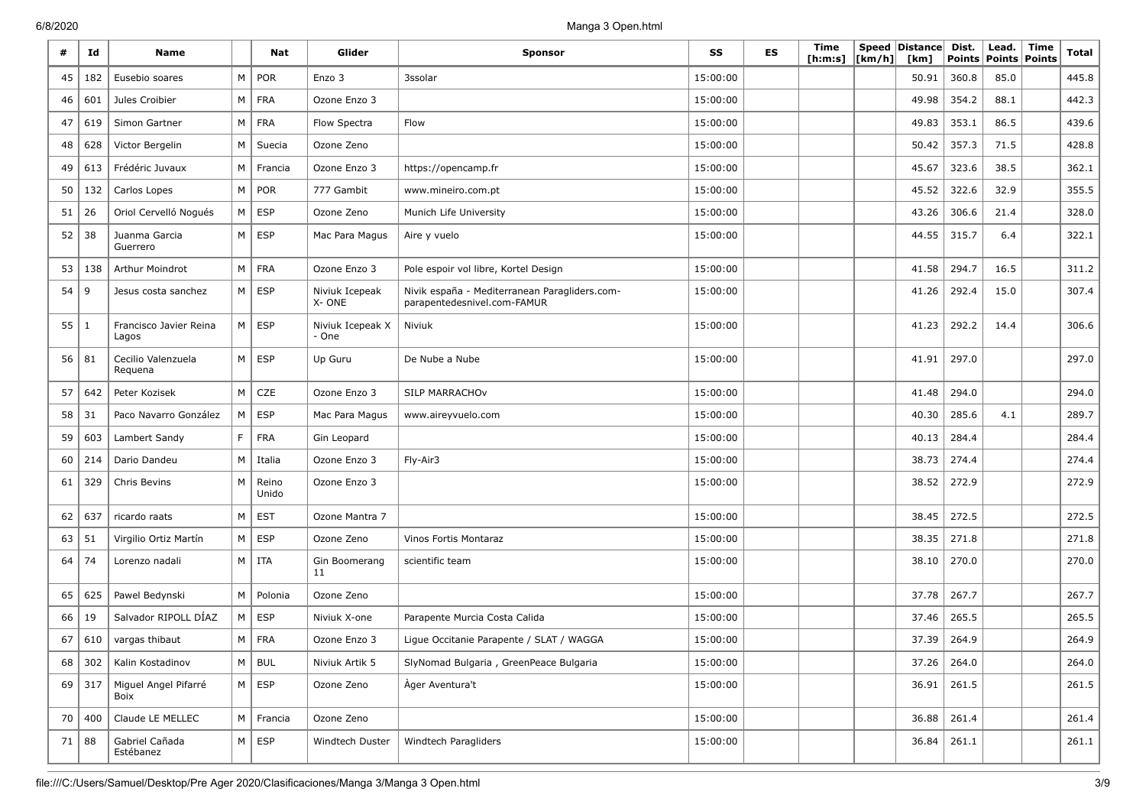| #    | Id       | <b>Name</b>                     |                | Nat            | Glider                    | <b>Sponsor</b>                                                               | SS       | <b>ES</b> | Time<br>[ <b>h</b> : <b>m</b> : <b>s</b> ] | [km/h] | Speed Distance<br>[km] | Dist.<br><b>Points</b> | Lead.<br>Points Points | Time | Total |
|------|----------|---------------------------------|----------------|----------------|---------------------------|------------------------------------------------------------------------------|----------|-----------|--------------------------------------------|--------|------------------------|------------------------|------------------------|------|-------|
| 45   | 182      | Eusebio soares                  | M              | POR            | Enzo 3                    | 3ssolar                                                                      | 15:00:00 |           |                                            |        | 50.91                  | 360.8                  | 85.0                   |      | 445.8 |
| 46   | 601      | Jules Croibier                  | M              | <b>FRA</b>     | Ozone Enzo 3              |                                                                              | 15:00:00 |           |                                            |        | 49.98                  | 354.2                  | 88.1                   |      | 442.3 |
| 47   | 619      | Simon Gartner                   | M              | <b>FRA</b>     | Flow Spectra              | Flow                                                                         | 15:00:00 |           |                                            |        | 49.83                  | 353.1                  | 86.5                   |      | 439.6 |
| 48   | 628      | Victor Bergelin                 | M              | Suecia         | Ozone Zeno                |                                                                              | 15:00:00 |           |                                            |        | 50.42                  | 357.3                  | 71.5                   |      | 428.8 |
| 49   | 613      | Frédéric Juvaux                 | M              | Francia        | Ozone Enzo 3              | https://opencamp.fr                                                          | 15:00:00 |           |                                            |        | 45.67                  | 323.6                  | 38.5                   |      | 362.1 |
| 50   | 132      | Carlos Lopes                    | M              | POR            | 777 Gambit                | www.mineiro.com.pt                                                           | 15:00:00 |           |                                            |        | 45.52                  | 322.6                  | 32.9                   |      | 355.5 |
| 51   | 26       | Oriol Cervelló Nogués           | М              | <b>ESP</b>     | Ozone Zeno                | Munich Life University                                                       | 15:00:00 |           |                                            |        | 43.26                  | 306.6                  | 21.4                   |      | 328.0 |
| 52   | 38       | Juanma Garcia<br>Guerrero       | M              | ESP            | Mac Para Magus            | Aire y vuelo                                                                 | 15:00:00 |           |                                            |        | 44.55                  | 315.7                  | 6.4                    |      | 322.1 |
| 53   | 138      | Arthur Moindrot                 | M              | <b>FRA</b>     | Ozone Enzo 3              | Pole espoir vol libre, Kortel Design                                         | 15:00:00 |           |                                            |        | 41.58                  | 294.7                  | 16.5                   |      | 311.2 |
| 54   | 9        | Jesus costa sanchez             | M              | ESP            | Niviuk Icepeak<br>X-ONE   | Nivik españa - Mediterranean Paragliders.com-<br>parapentedesnivel.com-FAMUR | 15:00:00 |           |                                            |        | 41.26                  | 292.4                  | 15.0                   |      | 307.4 |
| 55 1 |          | Francisco Javier Reina<br>Lagos | M              | <b>ESP</b>     | Niviuk Icepeak X<br>- One | Niviuk                                                                       | 15:00:00 |           |                                            |        | 41.23                  | 292.2                  | 14.4                   |      | 306.6 |
| 56   | 81       | Cecilio Valenzuela<br>Requena   | M <sub>1</sub> | ESP            | Up Guru                   | De Nube a Nube                                                               | 15:00:00 |           |                                            |        | 41.91                  | 297.0                  |                        |      | 297.0 |
| 57   | 642      | Peter Kozisek                   | M              | CZE            | Ozone Enzo 3              | SILP MARRACHOV                                                               | 15:00:00 |           |                                            |        | 41.48                  | 294.0                  |                        |      | 294.0 |
| 58   | 31       | Paco Navarro González           | M              | <b>ESP</b>     | Mac Para Magus            | www.aireyvuelo.com                                                           | 15:00:00 |           |                                            |        | 40.30                  | 285.6                  | 4.1                    |      | 289.7 |
| 59   | 603      | Lambert Sandy                   | F.             | <b>FRA</b>     | Gin Leopard               |                                                                              | 15:00:00 |           |                                            |        | 40.13                  | 284.4                  |                        |      | 284.4 |
| 60   | 214      | Dario Dandeu                    | M              | Italia         | Ozone Enzo 3              | Fly-Air3                                                                     | 15:00:00 |           |                                            |        | 38.73                  | 274.4                  |                        |      | 274.4 |
| 61   | 329      | Chris Bevins                    | M              | Reino<br>Unido | Ozone Enzo 3              |                                                                              | 15:00:00 |           |                                            |        | 38.52                  | 272.9                  |                        |      | 272.9 |
| 62   | 637      | ricardo raats                   | M              | <b>EST</b>     | Ozone Mantra 7            |                                                                              | 15:00:00 |           |                                            |        | 38.45                  | 272.5                  |                        |      | 272.5 |
| 63   | 51       | Virgilio Ortiz Martín           | M              | ESP            | Ozone Zeno                | Vinos Fortis Montaraz                                                        | 15:00:00 |           |                                            |        | 38.35                  | 271.8                  |                        |      | 271.8 |
| 64   | 74       | Lorenzo nadali                  | M <sub>1</sub> | ITA            | Gin Boomerang<br>11       | scientific team                                                              | 15:00:00 |           |                                            |        | 38.10                  | 270.0                  |                        |      | 270.0 |
| 65   | 625      | Pawel Bedynski                  | M              | Polonia        | Ozone Zeno                |                                                                              | 15:00:00 |           |                                            |        | 37.78                  | 267.7                  |                        |      | 267.7 |
| 66   | 19       | Salvador RIPOLL DÍAZ            | M              | ESP            | Niviuk X-one              | Parapente Murcia Costa Calida                                                | 15:00:00 |           |                                            |        | 37.46                  | 265.5                  |                        |      | 265.5 |
| 67   | 610      | vargas thibaut                  | M              | <b>FRA</b>     | Ozone Enzo 3              | Lique Occitanie Parapente / SLAT / WAGGA                                     | 15:00:00 |           |                                            |        | 37.39                  | 264.9                  |                        |      | 264.9 |
| 68   | 302      | Kalin Kostadinov                | $M \mid$       | <b>BUL</b>     | Niviuk Artik 5            | SlyNomad Bulgaria, GreenPeace Bulgaria                                       | 15:00:00 |           |                                            |        | 37.26                  | 264.0                  |                        |      | 264.0 |
|      | $69$ 317 | Miguel Angel Pifarré<br>Boix    | M              | ESP            | Ozone Zeno                | Àger Aventura't                                                              | 15:00:00 |           |                                            |        | 36.91                  | 261.5                  |                        |      | 261.5 |
| 70   | 400      | Claude LE MELLEC                |                | M Francia      | Ozone Zeno                |                                                                              | 15:00:00 |           |                                            |        | 36.88                  | 261.4                  |                        |      | 261.4 |
| 71   | 88       | Gabriel Cañada<br>Estébanez     |                | $M \vert ESP$  | Windtech Duster           | Windtech Paragliders                                                         | 15:00:00 |           |                                            |        | 36.84                  | 261.1                  |                        |      | 261.1 |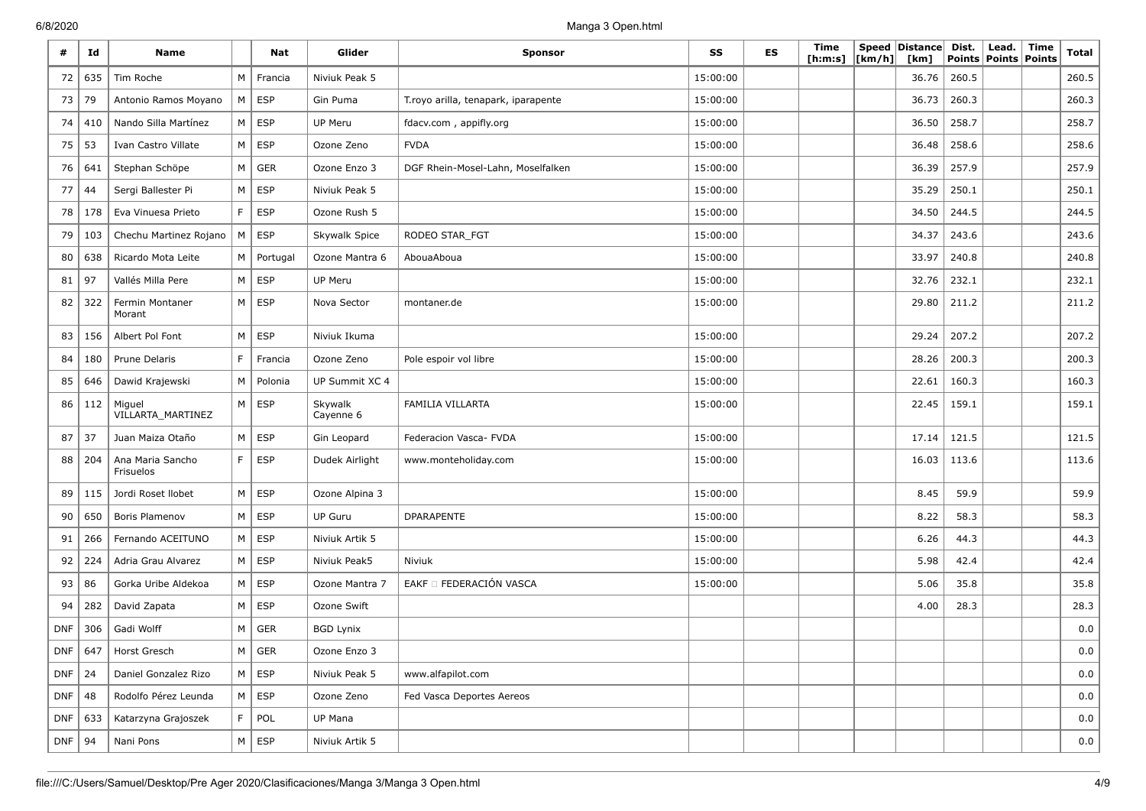| #          | Id         | Name                          |             | Nat           | Glider               | <b>Sponsor</b>                      | SS       | <b>ES</b> | Time<br>[ h: m: s] | [km/h] | Speed Distance<br>[km] | Dist.<br><b>Points</b> | Lead.<br>Points Points | Time | <b>Total</b> |
|------------|------------|-------------------------------|-------------|---------------|----------------------|-------------------------------------|----------|-----------|--------------------|--------|------------------------|------------------------|------------------------|------|--------------|
| 72         | 635        | Tim Roche                     | M           | Francia       | Niviuk Peak 5        |                                     | 15:00:00 |           |                    |        | 36.76                  | 260.5                  |                        |      | 260.5        |
| 73         | 79         | Antonio Ramos Moyano          | M           | ESP           | Gin Puma             | T.royo arilla, tenapark, iparapente | 15:00:00 |           |                    |        | 36.73                  | 260.3                  |                        |      | 260.3        |
| 74         | 410        | Nando Silla Martínez          | M           | <b>ESP</b>    | <b>UP Meru</b>       | fdacv.com, appifly.org              | 15:00:00 |           |                    |        | 36.50                  | 258.7                  |                        |      | 258.7        |
| 75         | 53         | Ivan Castro Villate           | М           | <b>ESP</b>    | Ozone Zeno           | <b>FVDA</b>                         | 15:00:00 |           |                    |        | 36.48                  | 258.6                  |                        |      | 258.6        |
| 76         | 641        | Stephan Schöpe                | M           | <b>GER</b>    | Ozone Enzo 3         | DGF Rhein-Mosel-Lahn, Moselfalken   | 15:00:00 |           |                    |        | 36.39                  | 257.9                  |                        |      | 257.9        |
| 77         | 44         | Sergi Ballester Pi            | M           | <b>ESP</b>    | Niviuk Peak 5        |                                     | 15:00:00 |           |                    |        | 35.29                  | 250.1                  |                        |      | 250.1        |
| 78         | 178        | Eva Vinuesa Prieto            | F.          | <b>ESP</b>    | Ozone Rush 5         |                                     | 15:00:00 |           |                    |        | 34.50                  | 244.5                  |                        |      | 244.5        |
| 79         | 103        | Chechu Martinez Rojano        | M           | ESP           | Skywalk Spice        | RODEO STAR_FGT                      | 15:00:00 |           |                    |        | 34.37                  | 243.6                  |                        |      | 243.6        |
| 80         | 638        | Ricardo Mota Leite            | М           | Portugal      | Ozone Mantra 6       | AbouaAboua                          | 15:00:00 |           |                    |        | 33.97                  | 240.8                  |                        |      | 240.8        |
| 81         | 97         | Vallés Milla Pere             | M           | <b>ESP</b>    | UP Meru              |                                     | 15:00:00 |           |                    |        | 32.76                  | 232.1                  |                        |      | 232.1        |
| 82         | 322        | Fermin Montaner<br>Morant     | M           | <b>ESP</b>    | Nova Sector          | montaner.de                         | 15:00:00 |           |                    |        | 29.80                  | 211.2                  |                        |      | 211.2        |
| 83         | 156        | Albert Pol Font               | M           | <b>ESP</b>    | Niviuk Ikuma         |                                     | 15:00:00 |           |                    |        | 29.24                  | 207.2                  |                        |      | 207.2        |
| 84         | 180        | Prune Delaris                 | $\mathsf F$ | Francia       | Ozone Zeno           | Pole espoir vol libre               | 15:00:00 |           |                    |        | 28.26                  | 200.3                  |                        |      | 200.3        |
| 85         | 646        | Dawid Krajewski               | M           | Polonia       | UP Summit XC 4       |                                     | 15:00:00 |           |                    |        | 22.61                  | 160.3                  |                        |      | 160.3        |
| 86         | 112        | Miguel<br>VILLARTA_MARTINEZ   | M           | ESP           | Skywalk<br>Cayenne 6 | FAMILIA VILLARTA                    | 15:00:00 |           |                    |        | 22.45                  | 159.1                  |                        |      | 159.1        |
| 87         | 37         | Juan Maiza Otaño              | M           | <b>ESP</b>    | Gin Leopard          | Federacion Vasca- FVDA              | 15:00:00 |           |                    |        | 17.14                  | 121.5                  |                        |      | 121.5        |
| 88         | 204        | Ana Maria Sancho<br>Frisuelos | F.          | ESP           | Dudek Airlight       | www.monteholiday.com                | 15:00:00 |           |                    |        | 16.03                  | 113.6                  |                        |      | 113.6        |
| 89         | 115        | Jordi Roset Ilobet            | M           | <b>ESP</b>    | Ozone Alpina 3       |                                     | 15:00:00 |           |                    |        | 8.45                   | 59.9                   |                        |      | 59.9         |
| 90         | 650        | Boris Plamenov                | M           | <b>ESP</b>    | <b>UP Guru</b>       | <b>DPARAPENTE</b>                   | 15:00:00 |           |                    |        | 8.22                   | 58.3                   |                        |      | 58.3         |
| 91         | 266        | Fernando ACEITUNO             | M           | ESP           | Niviuk Artik 5       |                                     | 15:00:00 |           |                    |        | 6.26                   | 44.3                   |                        |      | 44.3         |
| 92         | 224        | Adria Grau Alvarez            | M           | <b>ESP</b>    | Niviuk Peak5         | Niviuk                              | 15:00:00 |           |                    |        | 5.98                   | 42.4                   |                        |      | 42.4         |
| 93         | 86         | Gorka Uribe Aldekoa           | M           | ESP           | Ozone Mantra 7       | EAKF O FEDERACIÓN VASCA             | 15:00:00 |           |                    |        | 5.06                   | 35.8                   |                        |      | 35.8         |
| 94         | 282        | David Zapata                  | M           | <b>ESP</b>    | Ozone Swift          |                                     |          |           |                    |        | 4.00                   | 28.3                   |                        |      | 28.3         |
| <b>DNF</b> | 306        | Gadi Wolff                    | М           | <b>GER</b>    | <b>BGD Lynix</b>     |                                     |          |           |                    |        |                        |                        |                        |      | 0.0          |
| <b>DNF</b> |            | 647   Horst Gresch            | M           | ${\sf GER}$   | Ozone Enzo 3         |                                     |          |           |                    |        |                        |                        |                        |      | $_{0.0}$     |
| $DNF$ 24   |            | Daniel Gonzalez Rizo          |             | $M \vert ESP$ | Niviuk Peak 5        | www.alfapilot.com                   |          |           |                    |        |                        |                        |                        |      | 0.0          |
| <b>DNF</b> | 48         | Rodolfo Pérez Leunda          |             | $M \vert$ ESP | Ozone Zeno           | Fed Vasca Deportes Aereos           |          |           |                    |        |                        |                        |                        |      | 0.0          |
| <b>DNF</b> | 633        | Katarzyna Grajoszek           | F           | POL           | UP Mana              |                                     |          |           |                    |        |                        |                        |                        |      | 0.0          |
| <b>DNF</b> | $\vert$ 94 | Nani Pons                     |             | $M \vert$ ESP | Niviuk Artik 5       |                                     |          |           |                    |        |                        |                        |                        |      | 0.0          |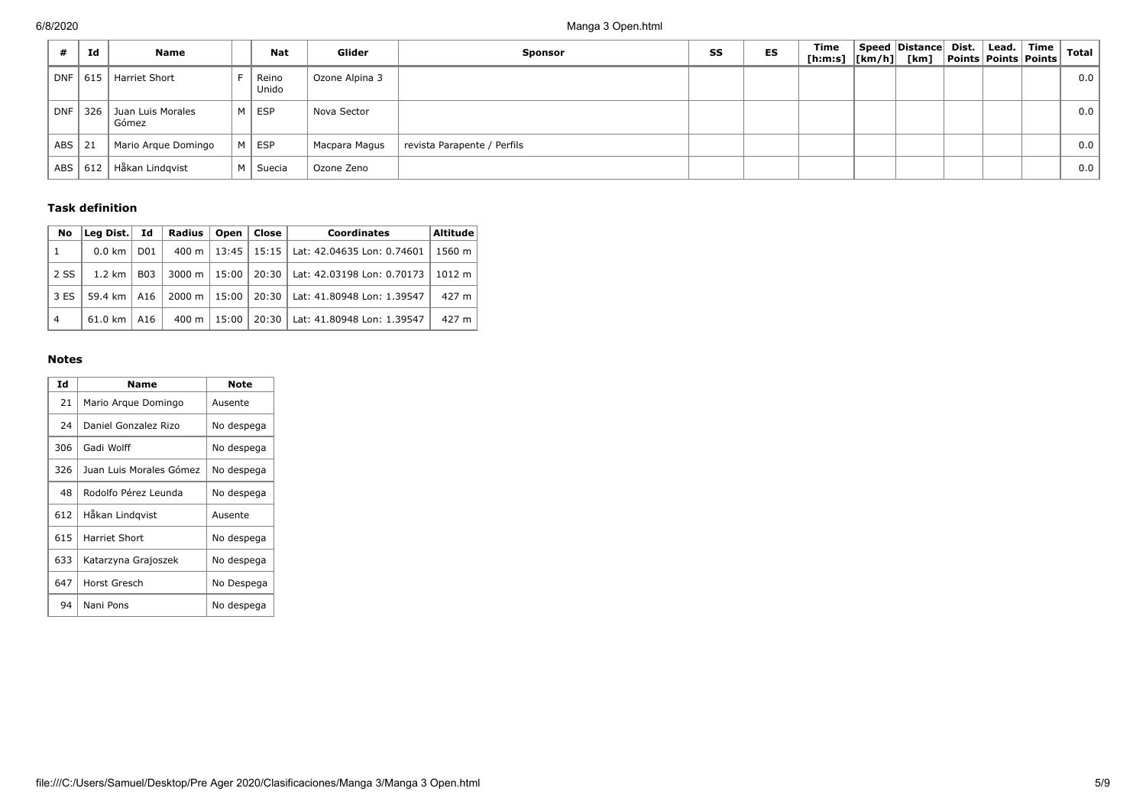|       | Id  | Name                       |   | <b>Nat</b>     | Glider         | <b>Sponsor</b>              | SS | ES | Time<br>[h:m:s]  [km/h]  [km]  Points  Points   Points | Speed Distance Dist. | $\mid$ Lead. $\mid$ | Time | <b>Total</b> |
|-------|-----|----------------------------|---|----------------|----------------|-----------------------------|----|----|--------------------------------------------------------|----------------------|---------------------|------|--------------|
| DNF I | 615 | Harriet Short              |   | Reino<br>Unido | Ozone Alpina 3 |                             |    |    |                                                        |                      |                     |      | 0.0          |
| DNF   | 326 | Juan Luis Morales<br>Gómez | м | ESP            | Nova Sector    |                             |    |    |                                                        |                      |                     |      | 0.0          |
| ABS   | 21  | Mario Argue Domingo        | M | $\Box$ ESP     | Macpara Magus  | revista Parapente / Perfils |    |    |                                                        |                      |                     |      | 0.0          |
| ABS   | 612 | Håkan Lindgvist            | м | Suecia         | Ozone Zeno     |                             |    |    |                                                        |                      |                     |      | 0.0          |

### **Task definition**

| No             | Lea Dist.        | Id               | <b>Radius</b><br>Open<br>Close<br><b>Coordinates</b> |       | Altitude |                            |        |
|----------------|------------------|------------------|------------------------------------------------------|-------|----------|----------------------------|--------|
| $\mathbf{1}$   | $0.0 \text{ km}$ | D <sub>0</sub> 1 | $400 \text{ m}$                                      | 13:45 | 15:15    | Lat: 42.04635 Lon: 0.74601 | 1560 m |
| 2 SS           | $1.2 \text{ km}$ | <b>B03</b>       | 3000 m                                               | 15:00 | $20:30$  | Lat: 42.03198 Lon: 0.70173 | 1012 m |
| 3 ES           | 59.4 km   A16    |                  | 2000 m                                               | 15:00 | 20:30    | Lat: 41.80948 Lon: 1.39547 | 427 m  |
| $\overline{4}$ | 61.0 km          | A16              | $400 \text{ m}$                                      | 15:00 | 20:30    | Lat: 41.80948 Lon: 1.39547 | 427 m  |

### **Notes**

| Id  | Name                    | Note       |
|-----|-------------------------|------------|
| 21  | Mario Argue Domingo     | Ausente    |
| 24  | Daniel Gonzalez Rizo    | No despega |
| 306 | Gadi Wolff              | No despega |
| 326 | Juan Luis Morales Gómez | No despega |
| 48  | Rodolfo Pérez Leunda    | No despega |
| 612 | Håkan Lindgvist         | Ausente    |
| 615 | Harriet Short           | No despega |
| 633 | Katarzyna Grajoszek     | No despega |
| 647 | Horst Gresch            | No Despega |
| 94  | Nani Pons               | No despega |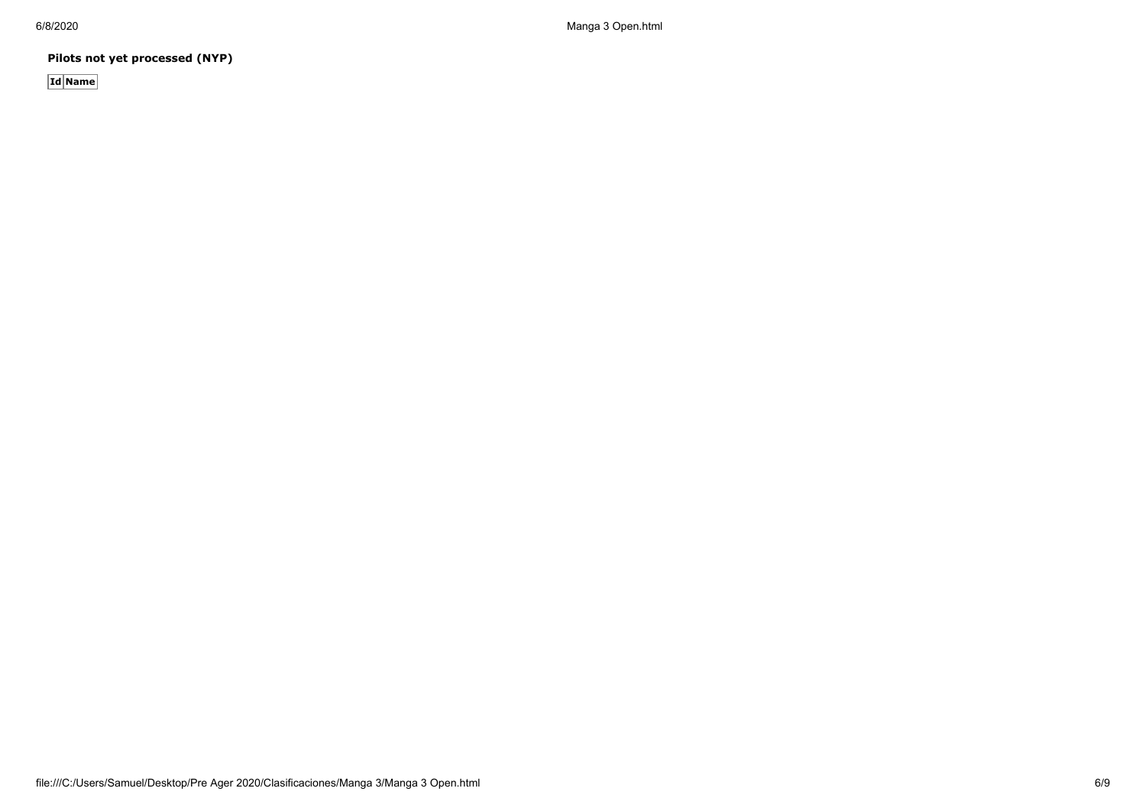**Pilots not yet processed (NYP)**

**Id Name**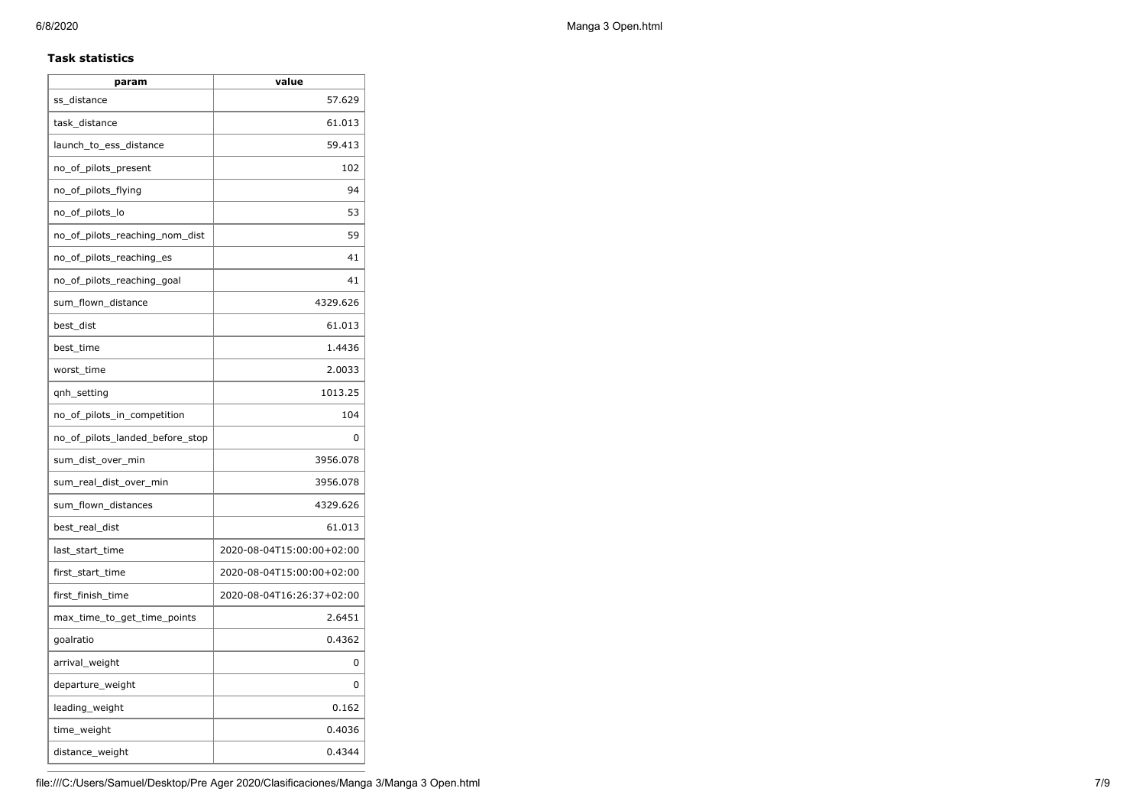### **Task statistics**

| param                           | value                     |
|---------------------------------|---------------------------|
| ss_distance                     | 57.629                    |
| task_distance                   | 61.013                    |
| launch_to_ess_distance          | 59.413                    |
| no_of_pilots_present            | 102                       |
| no_of_pilots_flying             | 94                        |
| no_of_pilots_lo                 | 53                        |
| no_of_pilots_reaching_nom_dist  | 59                        |
| no_of_pilots_reaching_es        | 41                        |
| no_of_pilots_reaching_goal      | 41                        |
| sum_flown_distance              | 4329.626                  |
| best dist                       | 61.013                    |
| best time                       | 1.4436                    |
| worst_time                      | 2.0033                    |
| qnh_setting                     | 1013.25                   |
| no_of_pilots_in_competition     | 104                       |
| no_of_pilots_landed_before_stop | 0                         |
| sum_dist_over_min               | 3956.078                  |
| sum_real_dist_over_min          | 3956.078                  |
| sum_flown_distances             | 4329.626                  |
| best_real_dist                  | 61.013                    |
| last_start_time                 | 2020-08-04T15:00:00+02:00 |
| first_start_time                | 2020-08-04T15:00:00+02:00 |
| first_finish_time               | 2020-08-04T16:26:37+02:00 |
| max_time_to_get_time_points     | 2.6451                    |
| goalratio                       | 0.4362                    |
| arrival_weight                  | 0                         |
| departure_weight                | 0                         |
| leading_weight                  | 0.162                     |
| time_weight                     | 0.4036                    |
| distance_weight                 | 0.4344                    |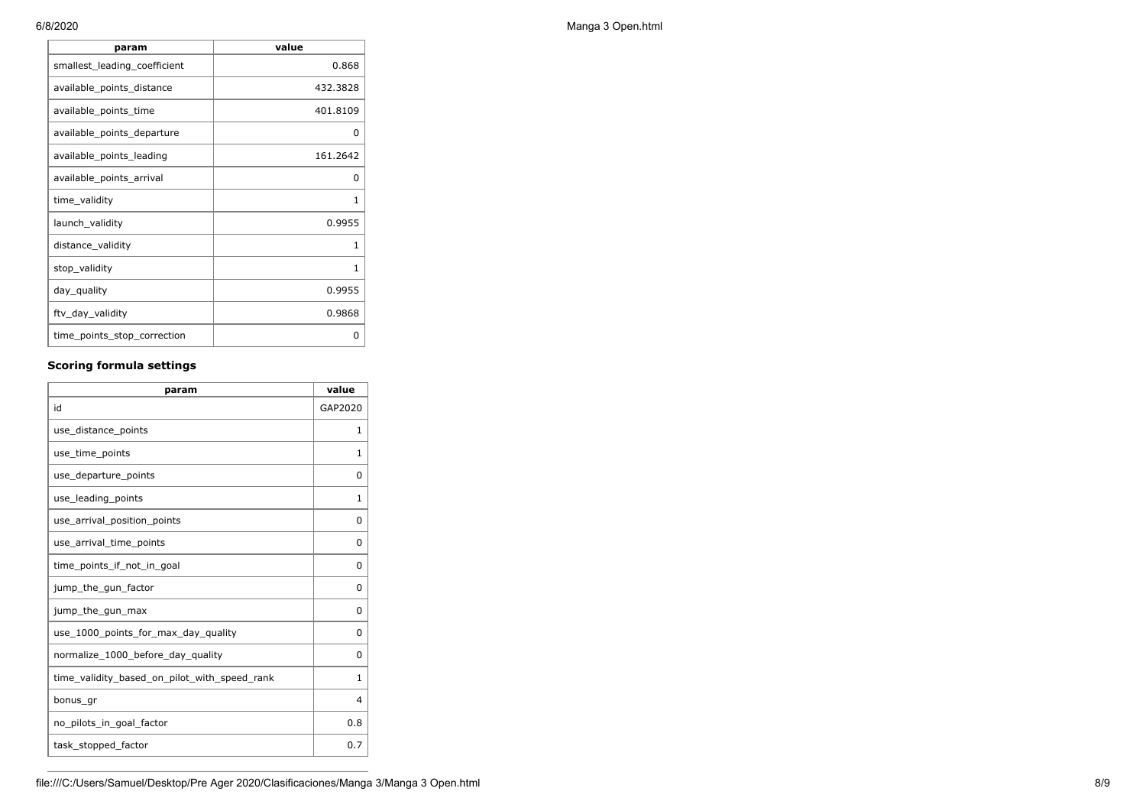| value    |
|----------|
| 0.868    |
| 432.3828 |
| 401.8109 |
| O        |
| 161.2642 |
| O        |
| 1        |
| 0.9955   |
| 1        |
| 1        |
| 0.9955   |
| 0.9868   |
| o        |
|          |

# **Scoring formula settings**

| param                                        | value        |
|----------------------------------------------|--------------|
| id                                           | GAP2020      |
| use_distance_points                          | 1            |
| use_time_points                              | 1            |
| use_departure_points                         | $\Omega$     |
| use_leading_points                           | 1            |
| use_arrival_position_points                  | 0            |
| use_arrival_time_points                      | 0            |
| time points if not in goal                   | 0            |
| jump_the_gun_factor                          | $\Omega$     |
| jump_the_gun_max                             | 0            |
| use_1000_points_for_max_day_quality          | 0            |
| normalize_1000_before_day_quality            | $\Omega$     |
| time_validity_based_on_pilot_with_speed_rank | $\mathbf{1}$ |
| bonus_gr                                     | 4            |
| no pilots in goal factor                     | 0.8          |
| task_stopped_factor                          | 0.7          |